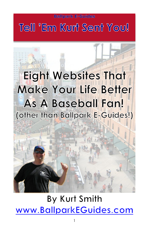## **Tell 'Em Kurt Sent You!**

# **Eight Websites That Make Your Life Better As A Baseball Fan! (other than Ballpark E-Guides!)**

## **By Kurt Smith [www.BallparkEGuides.com](http://www.ballparkeguides.com)**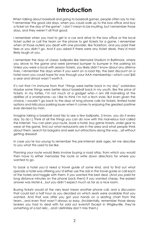### **Introduction**

When talking about baseball and going to baseball games, people often say to me: "I remember the good old days, when you could walk up to the box office and buy a ticket on the day of the game". I don't mean to be insulting, but I remember those days, and they weren't all that good.

I remember when you had to get in a car and drive to the box office or the local ticket outlet or call the team on the phone to get tickets for a game. I remember when at those outlets you dealt with one provider, like Ticketron, and you paid their fees or you didn't go. And if you asked if there were any ticket deals, they'd most likely laugh at you.

I remember the days of classic ballparks like Memorial Stadium in Baltimore, where you drove to the game and were jammed bumper to bumper in the parking lot. Unless you were a local with season tickets, you likely didn't know about any alternatives. I remember the days when if you went on a road trip, the best discount on a hotel room you could hope for was through your AAA membership—which cost \$45 a year and almost wasn't worth it.

It's not that I'm immune from that "things were better back in my day" worldview. Maybe some things were better about baseball back in my youth, like the price of tickets. In my forties, I'm not much of a gadget whiz—I am still marveling at the abilities of a smartphone—so I like to think I'm not a tech snob. But even given the choice, I wouldn't go back to the days of long phone calls for tickets, limited hotel options and ridiculous parking issues when it comes to enjoying the greatest pastime ever devised by man.

Imagine taking a baseball road trip to see a few ballparks. (I know, you do it every day. So do I.) Think of all the things you can do now with this marvelous tool called the Internet. You can plan your route, book a hotel, buy game tickets, order gear to wear at the game, find out what restaurants are in the area and what people think about them, search for bargains and seek out attractions along the way…all without getting dressed!

In case you're too young to remember the pre-Internet dark ages, let me describe to you what this used to be like.

Planning your route would likely involve buying a road atlas, from which you would then have to either memorize the route or write down directions for where you wanted to go.

To book a hotel you'd need a travel guide of some kind, and to find out what specials a hotel was offering you'd either use the ads in the travel guide or call each of the hotels and haggle with them, if you wanted the best deal. (And you paid for long distance minutes on the phone back then!) If you wanted cheap, the easiest answer was Motel 6…but you didn't expect much as far as a nice room.

Buying tickets would at the very least mean another phone call, and a discussion that could last a half hour as you decided on which seats were available that you wanted. And that was after you got your hands on a seating chart from the team…and even that wasn't always so easy. (Incidentally, remember those sleazy brokers you had to deal with for sold out events? Except in Wrigleyville, they're something of a lost relic…and I definitely don't miss them.)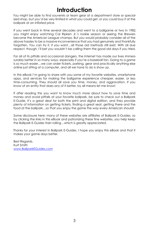### **Introduction**

You might be able to find souvenirs or team gear at a department store or specialized shop, but you'd be very limited in what you could get, or you could buy it at the ballpark at an inflated price.

If you went back in time several decades and went to a ballgame or two in 1982, you might enjoy watching Cal Ripken Jr.'s rookie season or seeing the Brewers become the American League champs. But you would probably consider all of the above hassles to be a massive inconvenience that you had genuinely and thankfully forgotten. You can try it, if you want…all those old methods still exist. With all due respect, though, I'll bet you wouldn't be calling them the good old days if you tried.

For all of its pitfalls and occasional dangers, the Internet has made our lives immeasurably better in so many ways, especially if you're a baseball fan. Going to a game is so much easier…we can order tickets, parking, gear and practically anything else online just sitting at a computer, and all we have to do is show up.

In this eBook I'm going to share with you some of my favorite websites, smartphone apps, and services for making the ballgame experience cheaper, easier, or less time-consuming. They should all save you time, money, and aggravation. If you know of an entity that does any of it better, by all means let me know!

If after reading this you want to know much more about how to save time and money and avoid pitfalls at your favorite ballpark, be sure to check out a Ballpark E-Guide. It's a great deal for both the print and digital edition, and they provide plenty of information on getting tickets, finding a great seat, getting there and the food at the ballpark…so that you enjoy the game the way every American should!

Some disclosure here: many of these websites are affiliates of Ballpark E-Guides, so by clicking the links in this eBook and patronizing these fine websites, you help keep the Ballpark E-Guides train rolling…which is greatly appreciated.

Thanks for your interest in Ballpark E-Guides. I hope you enjoy this eBook and that it makes your game days better.

Best Regards, Kurt Smith [www.BallparkEGuides.com](http://www.BallparkEGuides.com)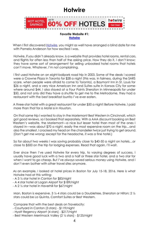### **Hotwire**



#### **Favorite Website #1: [Hotwire](http://partners.hotwire.com/c/216530/205226/3435)**

When I first discovered [Hotwire](http://partners.hotwire.com/c/216530/205226/3435), you might as well have arranged a blind date for me with Pamela Anderson for how excited I was.

Hotwire, if you didn't already know, is a website that provides hotel rooms, rental cars, and flights for often less than half of the asking price. How they do it, I don't know; they have some sort of arrangement for selling unbooked hotel rooms that hotels can't move. Whatever, I'm not complaining.

I first used Hotwire on an eight-ballpark road trip in 2003. Some of the deals I scored were a Crowne Plaza in Toronto for \$28 a night (this was, in fairness, during the SARS scare, when people were afraid to come to Toronto), a Baymont Inn in St. Louis for \$26 a night, and a very nice American Inn and Suites suite in Kansas City for somewhere around \$44. I also stayed at a Four Points Sheraton in Minneapolis for under \$50, and not only did they have a shuttle to get me to the Metrodome, they had a restaurant with the best breakfast burrito I've ever eaten.

A three-star hotel with a great restaurant for under \$50 a night! Before Hotwire, I paid more than that for a Motel 6 in Houston.

On that same trip I wanted to stay in the Mariemont Best Western in Cincinnati, which got good reviews, so I booked that separately. With a AAA discount booking on Best Western's website, the Mariemont—a nice but lesser hotel than most of the ones I stayed in—was about \$70 a night, easily the most expensive room on the trip…and also the smallest. I cracked my head on the chandelier *twice* just trying to get around. (Don't get me wrong; except for the headache, it was a fine hotel.)

So for about two weeks I was saving probably close to \$40-50 a night on hotels…or close to \$500 on the trip for lodging expenses. Read that again, I'll wait.

Ever since then I've used Hotwire for every trip, to varying degrees of success. I usually have good luck with a two and a half or three star hotel, and a two star for when I want to go cheap. But I've *always* saved serious money using Hotwire, and I don't even bother with other travel sites anymore.

As an example, I looked at hotel prices in Boston for July 15-18, 2016. Here is what Hotwire had at this writing:

- A 3 ½ star hotel in Canton for \$83/night
- A 4 star hotel at Logan Airport for \$189/night
- A 2 ½ star hotel in Haverhill for \$67/night

Man, Boston is expensive. 3 ½-4 stars could be a Doubletree, Sheraton or Hilton; 2 ½ stars could be La Quinta, Comfort Suites or Best Western.

Compare that with the best deals on Travelocity:

- Courtyard in Canton (3 stars) \$119/night
- Hyatt Regency Airport (4 stars) \$217/night
- Best Western Merrimack Valley (2 ½ stars) \$125/night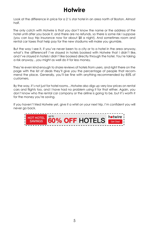### **Hotwire**

Look at the difference in price for a 2 ½ star hotel in an area north of Boston. Almost half.

The only catch with Hotwire is that you don't know the name or the address of the hotel until after you book it, and there are no refunds, so there is some risk I suppose (you can buy trip insurance now for about \$8 a night). And sometimes room and rental car taxes that help pay for the new stadiums will make you grumble.

But the way I see it, if you've never been to a city or to a hotel in the area anyway, what's the difference? I've stayed in hotels booked with Hotwire that I didn't like, and I've stayed in hotels I didn't like booked directly through the hotel. You're taking a risk anyway…you might as well do it for less money.

They're even kind enough to share reviews of hotels from users, and right there on the page with the list of deals they'll give you the percentage of people that recommend the place. Generally, you'll be fine with anything recommended by 85% of customers.

By the way, it's not just for hotel rooms…Hotwire also digs up very low prices on rental cars and flights too, and I have had no problem using it for that either. Again, you don't know who the rental car company or the airline is going to be, but it's worth it for the money you're saving.

If you haven't tried Hotwire yet, give it a whirl on your next trip. I'm confident you will never go back.

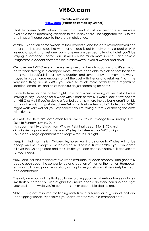### **VRBO.com**

#### **Favorite Website #2 [VRBO.com](http://www.vrbo.com) (Vacation Rentals By Owner)**

I first discovered VRBO when I mused to a friend about how few hotel rooms were available for an upcoming vacation to the Jersey Shore. She suggested VRBO to me and I haven't gone back to the shore motels since.

At VRBO, vacation home owners list their properties and the dates available; you can enter search parameters like whether a place is pet-friendly or has a pool or Wi-Fi. Instead of paying for just one room, or even a nice-sized suite at a hotel, you'll be staying in someone's home…and it will likely be much more spacious and have a refrigerator, a decent coffeemaker, a microwave, even a washer and dryer.

We have used VRBO every time we've gone on a beach vacation, and it's *so* much better than staying in a cramped motel. We've been able to pick perfect locations, cook more breakfasts in our staying quarters and save money that way, and we've stayed in places large enough to split the cost with friends and relatives. That's the very nice thing about VRBO; you have so much more flexibility with regards to location, amenities, and costs than you do just searching for hotels.

I love Hotwire for one or two night stays and when traveling alone, but if I were staying in, say, Chicago for a week with friends or family, I would look at my options on VRBO as well. If you're doing a four ballpark trip where the ballparks aren't terribly far apart, say Chicago-Milwaukee-Detroit or Boston-New York-Philadelphia, VRBO might work very well for you, especially if you're taking a family or sharing the costs with friends.

As I write this, here are some offers for a 1-week stay in Chicago from Sunday, July 3, 2016 to Sunday, July 10, 2016:

- An apartment two blocks from Wrigley Field that sleeps 6 for \$175 a night
- A Lakeview apartment a mile from Wrigley that sleeps 6 for \$207 a night
- A Roscoe Village apartment that sleeps 6 for \$250 a night

Keep in mind that this is in Wrigleyville; hotels walking distance to Wrigley will not be cheap. And yes, "sleeps 6" is a loosely defined phrase. But with VRBO you can search all over the Chicago area and the suburbs; you can choose whatever is convenient for your needs.

VRBO also includes reader reviews when available for each property, and generally people gush about the convenience and location of most of the homes. Homeowners want to have a good reputation, so the places you stay in will very likely be clean and comfortable.

The only drawback of it is that you have to bring your own sheets or towels or things like that; but aren't you kind of glad they make people do that? You also don't get your bed made while you're out. That's never been a big deal to me.

VRBO is a great resource for finding rentals with a family or a group of ballpark roadtripping friends. Especially if you don't want to stay in a cramped hotel.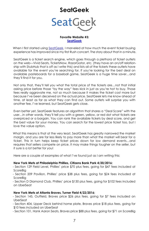### **SeatGeek**



#### **Favorite Website #3: [SeatGeek](http://seatgeek.com/?aid=204)**

When I first started using [SeatGeek](http://seatgeek.com/?aid=204), I marveled at how much the event ticket buying experience has improved since my first Rush concert. The story about that in a minute.

SeatGeek is a ticket search engine, which goes through a plethora of ticket outlets on the web—Vivid Seats, TicketsNow, RazorGator, etc. (they have an on/off relationship with StubHub that is off as I write this) and lists all of the tickets these outlets have available for the event you're searching for. If you're looking for the best deal on available pasteboards for a baseball game, SeatGeek is a huge time saver…and they'll find it for you.

Not only that, they'll tell you what the total price of the tickets are…not that initial asking price before those "by the way" fees kick in just as you're hot to buy. Those fees really aggravate me, not so much because it makes the ticket cost more but because I've been deceived on the actual price. SeatGeek lets me know ahead of time, at least as far as what they can find out. Some outlets will surprise you with another fee, I've learned, but SeatGeek gets close.

Even better yet, SeatGeek features an algorithm that shares a "Deal Score" with the user…in other words, they'll tell you with a green, yellow, or red dot what tickets are overpriced or a bargain. You can rank the available tickets by deal score, and get the best value for your money. You can search for the lowest price ticket too, but I love the value option.

What this means is that at the very least, SeatGeek has greatly narrowed the market margin, and you are far less likely to pay more than what the market will bear for a ticket. This in turn helps keep ticket prices down for low demand events…and requires that sellers compete on price. It may make things tougher on the seller, but it sure is a lot better for you!

Here are a couple of examples of what I've found just as I am writing this:

#### **New York Mets at Philadelphia Phillies, Citizens Bank Park 4/20/2016:**

- Section 129 Field Level, Phillies' price \$70 plus fees, going for \$47 fees included at ScoreBig

- Section 209 Pavilion, Phillies' price \$38 plus fees, going for \$24 fees included at ScoreBig

- Section D Diamond Club, Phillies' price \$130 plus fees, going for \$102 fees included on UberSeat

#### **New York Mets at Atlanta Braves, Turner Field 4/22/2016:**

- Section 145, Outfield, Braves price \$26 plus fees, going for \$7 fees included on UberSeat

- Section 404, Upper Deck behind home plate, Braves price \$18 plus fees, going for \$10 fees included on UberSeat

- Section 101, Hank Aaron Seats, Braves price \$88 plus fees, going for \$71 on ScoreBig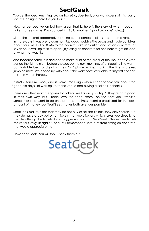### **SeatGeek**

You get the idea. Anything sold on ScoreBig, UberSeat, or any of dozens of third party sites will be right there for you to see.

Now for perspective on just how great that is, here is the story of when I bought tickets to see my first Rush concert in 1984. (Another "good old days" tale…)

Since the Internet appeared, camping out for concert tickets has become rare, but in those days it was pretty common. My good buddy Mike Lucas and I rode our bikes about four miles at 3:00 AM to the nearest Ticketron outlet, and sat on concrete for seven hours waiting for it to open. (Try sitting on concrete for one hour to get an idea of what that was like.)

And because some jerk decided to make a list of the order of the line, people who signed the list the night before showed up the next morning, after sleeping in a warm comfortable bed, and got in their "list" place in line, making the line a useless, jumbled mess. We ended up with about the worst seats available for my first concert to see my then-heroes.

It isn't a fond memory, and it makes me laugh when I hear people talk about the "good old days" of walking up to the venue and buying a ticket. No thanks.

There are other search engines for tickets, like FanSnap or TiqIQ. They're both good in their own way, but I really love the "deal score" on the SeatGeek website. Sometimes I just want to go cheap, but sometimes I want a great seat for the least amount of money too. SeatGeek makes both avenues possible.

SeatGeek makes clear that they do not buy or sell the tickets, they only search. But they do have a buy button on tickets that you click on, which takes you directly to the site offering the tickets. One blogger wrote about SeatGeek, "Never use Ticketmaster or Craigslist again". And I still remember a sore butt from sitting on concrete that would appreciate that.

I love SeatGeek. You will too. Check them out.

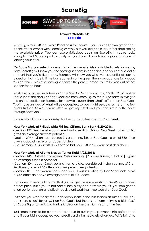### **ScoreBig**



#### **Favorite Website #4: [ScoreBig](http://www.tkqlhce.com/click-5752259-11724744-1454449416000)**

ScoreBig is to SeatGeek what Priceline is to Hotwire…you can nail down great deals on tickets for events with ScoreBig as well, but you bid on tickets rather than seeing the available price. You can score ridiculous deals on ScoreBig if you're lucky enough…and ScoreBig will actually let you know if you have a good chance of landing your offer.

On ScoreBig, you select an event and the website lists available tickets for you by tiers; ScoreBig will show you the seating sections in each tier, and you enter a dollar amount that you'd like to pay. ScoreBig will show you what your potential of scoring a deal at that price is; if the bar reaches into the green then your odds are fairly good. You get three bids at a seating section; if they are rejected you're locked out of that section for an hour.

So should you use SeatGeek or ScoreBig? As Deion would say, "Both." You'll notice that a lot of the deals on SeatGeek are from ScoreBig, so there's no harm in trying to bid on that section on ScoreBig for a few less bucks than what's offered on SeatGeek. You'll have an idea of what will be accepted, so you might be able to stretch it a few bucks further. At worst, your offer will get rejected and you can just buy the seats through SeatGeek.

Here is what I found on ScoreBig for the games I described on SeatGeek:

#### **New York Mets at Philadelphia Phillies, Citizens Bank Park 4/20/2016:**

- Section 129 Field Level – considered 6-star seating. \$47 on SeatGeek; a bid of \$40 gives an average success potential.

- Section 209 Pavilion – considered 3-star seating. \$38 on SeatGeek; a bid of \$30 offers a very good chance at a successful deal.

- The Diamond Club seats don't offer a bid, so SeatGeek is your best deal there.

#### **New York Mets at Atlanta Braves, Turner Field 4/22/2016:**

- Section 145, Outfield, considered 2-star seating. \$7 on SeatGeek; a bid of \$5 gives an average success potential.

- Section 404, Upper Deck behind home plate, considered 1-star seating. \$10 on SeatGeek; a bid of \$6 offers an average success potential.

- Section 101, Hank Aaron Seats, considered 6-star seating. \$71 on SeatGeek; a bid of \$65 offers an above average potential of success.

That doesn't mean, of course, that you will get the same seats that SeatGeek offered at that price. But if you're not particularly picky about where you sit, you can get an even better deal on a relatively equivalent seat than you would on SeatGeek.

Let's say you want to try the Hank Aaron seats in the last season at Turner Field. You can score a seat for just \$71 on SeatGeek, but there's no harm in trying a bid of \$60 on ScoreBig and landing a fantastic deal on the premium seats at the Ted.

Just some things to be aware of. You have to put in your payment info beforehand, and if your bid is accepted your credit card is immediately charged. Fair's fair. And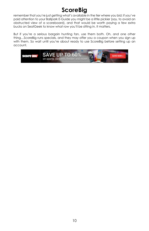### **ScoreBig**

remember that you're just getting what's available in the tier where you bid; if you've paid attention to your Ballpark E-Guide you might be a little pickier (say, to avoid an obstructed view of a scoreboard), and that would be worth paying a few extra bucks on SeatGeek to know what row you'll be sitting in. It matters.

But if you're a serious bargain hunting fan, use them both. Oh, and one other thing…ScoreBig runs specials, and they may offer you a coupon when you sign up with them. So wait until you're about ready to use ScoreBig before setting up an account.

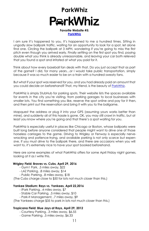## **ParkWhizParkWhiz**

#### **Favorite Website #5: [ParkWhiz](http://www.parkwhiz.com/?pwa=4d38085)**

I am sure it's happened to you. It's happened to me a hundred times. Sitting in ungodly slow ballpark traffic, waiting for an opportunity to look for a spot, let alone find one. Circling the ballpark at 3 MPH, wondering if you're going to miss the first pitch even though you arrived early. Finally settling on the first spot you find, paying double what you think is already unreasonable, and leaving your car both relieved that you found a spot and irritated at what you paid for it.

Think about how every baseball fan deals with that. Do you just accept that as part of the game? I did, for many years…or I would take public transportation, simply because it was so much easier to be on a train with a hundred sweaty fans.

But what if your spot was reserved for you, and you had already paid an amount that you could decide on beforehand? That, my friend, is the beauty of [ParkWhiz](http://www.parkwhiz.com/?pwa=4d38085).

ParkWhiz is simply StubHub for parking spots. Their website lists the spaces available for events in the city you're visiting, from parking garages to local businesses with smaller lots. You find something you like, reserve the spot online and pay for it then, and then print out the reservation and bring it with you to the ballgame.

Mapquest the address or plug it into your GPS (assuming yours works better than mine), and suddenly all of this hassle is gone. OK, you may still crawl in traffic, but at least you know where you're going and that there's a spot waiting for you.

ParkWhiz is especially useful in places like Chicago or Boston, whose ballparks were built long before anyone considered that people might want to drive one of those horseless carriages to the game. Driving to Wrigley or Fenway is especially nervewracking and patience-trying, and available parking is not only scarce but expensive. If you must drive to the ballpark there, and there are occasions when you will want to, it's extremely nice to have your spot booked beforehand.

Here are some examples of what ParkWhiz offers for some April Friday night games, looking at it as I write this.

#### **Wrigley Field: Braves vs. Cubs, April 29, 2016**

- Gym1 Park, .5 miles away, \$22
- LAZ Parking, .8 miles away, \$14
- Public Parking, .8 miles away, \$18

(The Cubs charge close to \$50 for lots not much closer than this.)

#### **Yankee Stadium: Rays vs. Yankees, April 22,2016**

- iPark Parking, .4 miles away, \$7
- Stable Car Parking, .5 miles away, \$10
- Park-It Management, .7 miles away, \$9

(The Yankees charge \$35 to park in lots not much closer than this.)

#### **Tropicana Field: Blue Jays at Rays, April 29, 2012**

- Courtesy Parking, .3 miles away, \$6.55
- Game Parking, .5 miles away, \$6.33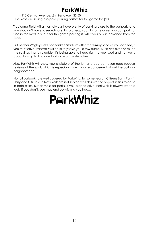### **ParkWhiz**

- 410 Central Avenue, .8 miles away, \$5.50 (The Rays are selling pre-paid parking passes for this game for \$20.)

Tropicana Field will almost always have plenty of parking close to the ballpark, and you shouldn't have to search long for a cheap spot. In some cases you can park for free in the Rays lots, but for this game parking is \$20 if you buy in advance from the Rays.

But neither Wrigley Field nor Yankee Stadium offer that luxury, and as you can see, if you must drive, ParkWhiz will definitely save you a few bucks. But it isn't even so much the savings that's valuable. It's being able to head right to your spot and not worry about having to find one that is a worthwhile value.

Also, ParkWhiz will show you a picture of the lot, and you can even read readers' reviews of the spot, which is especially nice if you're concerned about the ballpark neighborhood.

Not all ballparks are well covered by ParkWhiz; for some reason Citizens Bank Park in Philly and Citi Field in New York are not served well despite the opportunities to do so in both cities. But at most ballparks, if you plan to drive, ParkWhiz is always worth a look. If you don't, you may end up wishing you had…

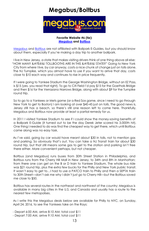### **Megabus/Boltbus**



#### **Favorite Website #6 (tie): [Megabus](http://www.megabus.com) and [Boltbus](http://www.boltbus.com)**

[Megabus](http://www.megabus.com) and [Boltbus](http://www.boltbus.com) are not affiliated with Ballpark E-Guides, but you should know about them, especially if you're making a day trip to another ballpark.

I live in New Jersey, a state that makes visiting drivers think of one thing above all else: "HOW MANY &#!%@&! TOLLBOOTHS ARE IN THIS &#!%@&! STATE?" Going to New York City from where I live, by car anyway, costs a nice chunk of change just on tolls alone. The NJ Turnpike, which you almost have to use if you want to arrive that day, costs close to \$10 each way and continues to rise in price frequently.

If I were going to Yankee Stadium the George Washington Bridge, without an EZ Pass, is \$15 (yes, you read that right). To go to Citi Field I'd pay \$15 for the Goethals Bridge and then \$16 for the Verrazano Narrows Bridge, along with about \$9 for the Turnpike round trip.

So to go to a Yankees or Mets game (or a Red Sox game, since I need to go through New York to get to Boston) I am looking at over \$40-45 just on *tolls*. The good news is, Jersey still has a beach, so there's still one reason left to come here. Thankfully, Megabus and Boltbus now provide at least a partial remedy for us.

In 2011 I visited Yankee Stadium to see if I could show the money-saving benefits of a Ballpark E-Guide (it turned out to be the day Derek Jeter scored his 3,000th hit). One thing I needed to do was find the cheapest way to get there, which until Boltbus came along was no easy task.

As I've said, going by car would have meant about \$30 in tolls, not to mention gas and parking. So obviously that's out. You can take a NJ Transit train for about \$30 round trip, but that still means some gas to get to the station and parking isn't free there either. More convenient perhaps, but not cheaper.

Boltbus (and Megabus) runs buses from 30th Street Station in Philadelphia, and Boltbus runs from the Cherry Hill Mall in New Jersey, to 34th and 8th in Manhattan; from there one can get on the B or D train to Yankee Stadium. The whole bus ride was \$21 round trip, plus the extra few bucks for the Philly and New York public transit. It wasn't easy to get to…I had to use a PATCO train to Philly and then a SEPTA train to 30th Street—don't ask me why I didn't just go to Cherry Hill—but the Boltbus saved me close to \$50.

Boltbus has several routes in the northeast and northwest of the country; Megabus is available in many big cities in the U.S. and Canada and usually has a route to the nearest few metropolises.

As I write this the Megabus deals below are available for Philly to NYC, on Sunday, April 24, 2016, to see the Yankees take on the Rays:

- Depart 6:00 AM, arrive 8:10 AM; total cost \$11
- Depart 7:00 AM, arrive 9:10 AM; total cost \$11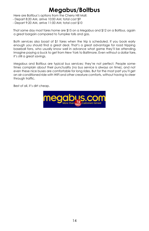### **Megabus/Boltbus**

Here are Boltbus's options from the Cherry Hill Mall:

- Depart 8:20 AM, arrive 10:00 AM; total cost \$9
- Depart 9:20 AM, arrive 11:00 AM; total cost \$10

That same day most fares home are \$15 on a Megabus and \$12 on a Boltbus, again a great bargain compared to Turnpike tolls and gas.

Both services also boast of \$1 fares when the trip is scheduled. If you book early enough you should find a great deal. That's a great advantage for road tripping baseball fans, who usually know well in advance what game they'll be attending. Imagine paying a buck to get from New York to Baltimore. Even without a dollar fare, it's still a great savings.

Megabus and Boltbus are typical bus services; they're not perfect. People sometimes complain about their punctuality (no bus service is always on time), and not even these nice buses are comfortable for long rides. But for the most part you'll get an air-conditioned ride with WiFi and other creature comforts, without having to steer through traffic.

Best of all, it's dirt cheap.

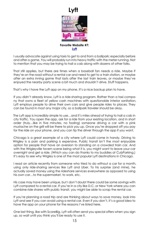



**Favorite Website #7: [Lyft](http://click.linksynergy.com/fs-bin/click?id=fvxcKdnWDqU&offerid=378872.18&subid=0&type=4)**

I usually advocate against using taxis to get to and from a ballpark; especially before and after a game. You will probably run into heavy traffic with the meter running. Not to mention that you may be trying to hail a cab along with dozens of other folks.

That still applies, but there are times when a baseball fan needs a ride. Maybe if they're on the road without a rental car and need to get to a train station, or maybe after an extra inning game that lasts after the last train leaves, or maybe they've enjoyed the nearby party scene a bit much and shouldn't drive. Stuff happens.

That's why I have the Lyft app on my phone. It's a nice backup plan to have.

If you didn't already know, Lyft is a ride-sharing program. Rather than a taxi company that owns a fleet of yellow cash machines with questionable interior sanitation, Lyft employs people to drive their own cars and give people rides to places. They can be found in most any major city, so a ballpark traveler should be okay.

The Lyft app is incredibly simple to use…and it's miles ahead of trying to hail a cab in city traffic. You open the app, ask for a ride from your existing location, and in short order (truly…like in five minutes, no fooling) someone driving a car with a pink mustache on the grill will be there to pick you up. Once you're dropped off you pay for the ride on your phone, and you can tip the driver through the app if you want.

Chicago is a great example of a city where Lyft could come in handy. Driving to Wrigley is a pain and parking is expensive. Public transit isn't the most enjoyable option for people that have an aversion to standing on a crowded train car. And with the Wrigleyville tavern scene being what it is, you might want to leave your car overnight and get a ride. (Which you can do thanks to my buddies at CubParking.) It's easy to see why Wrigley is one of the most popular Lyft destinations in Chicago.

I read an article recently from someone who tried to do without a car for a month, using only ride-sharing services like Lyft and Uber. To his surprise (and mine), he actually saved money using the rideshare services everywhere as opposed to using his own car…to the supermarket, to work, etc.

His case may have been unique, but I don't doubt there could be some savings with Lyft compared to a rental car. If you're in a city like D.C. or New York where you can combine ride shares with public transit, you might be able to scrap the rental car.

If you're planning a road trip and are thinking about ways to save money, look into Lyft and see if you can avoid using a rental car. Even if you don't, it's a good idea to have the app on your phone for the reasons I've listed here.

One last thing, like with ScoreBig, Lyft will often send you special offers when you sign up, so wait until you think you'll be ready to use it.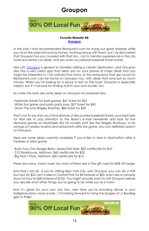### **Groupon**



#### **Favorite Website #8: [Groupon](http://www.tkqlhce.com/click-5752259-10868553-1399573917000)**

In the past I had recommended Restaurant.com for trying out great eateries while you're on the road and saving money. Nothing wrong with them, but I've discovered that Groupon has you covered with that too…not to mention experiences in the city, hotel and rental car deals, and yes, even occasional baseball ticket scores.

Like Lyft, [Groupon](http://www.tkqlhce.com/click-5752259-10868553-1399573917000) is geared to travelers visiting a certain destination, and Groupon also has a very useful app that alerts you on your phone of major deals that you might be interested in. I've noticed that many of the restaurants that are found on Restaurant.com can be found on Groupon too, with deals that save just as much money. When you're looking for a place to eat on the road, Groupon is especially helpful, but it's not bad for finding stuff in your own locale, too.

As I write this here are some deals on Groupon for baseball fans:

- Nationals tickets for April games, \$67 ticket for \$32
- White Sox game and patio party pass, \$57 ticket for \$40
- Down The Line Wrigley Rooftop, \$84 ticket for \$59

That's not to say that you'll find all kinds of discounted baseball tickets; your best bets for that are to pay attention to the team's e-mail newsletter and look for low demand games on SeatGeek. But for novelty stuff, like the Wrigley Rooftops, or for savings on nearby taverns and restaurants after the game, you can definitely search on Groupon.

Here are some deals currently available if you'd like to dine in Manhattan after a Yankees or Mets game:

- Build Your Own Burger Bistro, Upper East Side: \$20 certificate for \$10
- 212 Steakhouse, Midtown: \$60 certificate for \$32
- Big Nick's Pizza, Midtown: \$20 certificate for \$13

There are many, many more, but most of them are in the gift card for 60% off range.

And that's not all...if you're visiting New York City, with Groupon you can do a #39 bus tour for \$22, rent a bike in Central Park for \$9 instead of \$20, even see a comedy show for four for \$20 instead of \$100. You might actually want to visit Groupon before you decide what other things you're going to do while you're in town.

And it's great for your own city too…next time you're including dinner in your ballgame plans, have a look…I'm looking forward to trying the burgers at JJ Bootleggers in Philly!